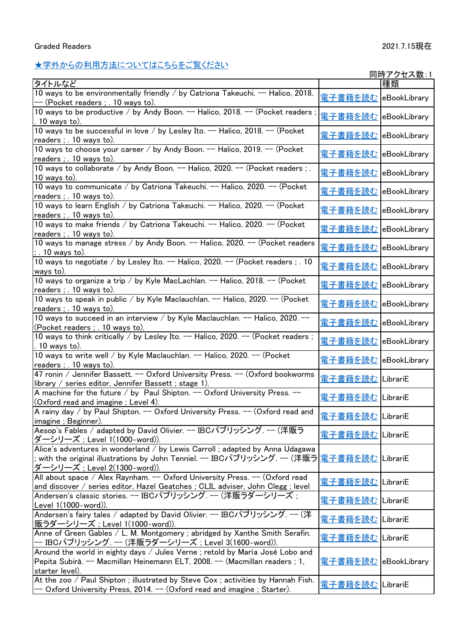## [★学外からの利用方法についてはこちらをご覧ください](http://www.lib.tyg.jp/gaku/ebook.html)

|                                                                                                                                                                                                                      |                               | <u>同時アクセス数:1</u> |
|----------------------------------------------------------------------------------------------------------------------------------------------------------------------------------------------------------------------|-------------------------------|------------------|
| タイトルなど                                                                                                                                                                                                               |                               | 種類               |
| 10 ways to be environmentally friendly / by Catriona Takeuchi. -- Halico, 2018.<br>-- (Pocket readers ; . 10 ways to).                                                                                               | 電子書籍を読む eBookLibrary          |                  |
| 10 ways to be productive / by Andy Boon. -- Halico, 2018. -- (Pocket readers;<br>$.10$ ways to).                                                                                                                     | 電子書籍を読む eBookLibrary          |                  |
| 10 ways to be successful in love / by Lesley Ito. -- Halico, 2018. -- (Pocket<br>readers ; . 10 ways to).                                                                                                            | <u>電子書籍を読む</u> eBookLibrary   |                  |
| 10 ways to choose your career / by Andy Boon. -- Halico, 2019. -- (Pocket<br>readers ; . 10 ways to).                                                                                                                | <u>電子書籍を読む</u> eBookLibrary   |                  |
| 10 ways to collaborate / by Andy Boon. -- Halico, 2020. -- (Pocket readers ; .<br>$10$ ways to).                                                                                                                     | <u> 電子書籍を読む</u> eBookLibrary  |                  |
| 10 ways to communicate / by Catriona Takeuchi. -- Halico, 2020. -- (Pocket<br>readers ; . 10 ways to).                                                                                                               | 電子書籍を読む eBookLibrary          |                  |
| 10 ways to learn English / by Catriona Takeuchi. -- Halico, 2020. -- (Pocket<br>readers ; . 10 ways to).                                                                                                             | <u>電子書籍を読む</u>  eBookLibrary  |                  |
| 10 ways to make friends / by Catriona Takeuchi. -- Halico, 2020. -- (Pocket<br>readers ; . 10 ways to).                                                                                                              | <u> 電子書籍を読む</u>  eBookLibrary |                  |
| 10 ways to manage stress / by Andy Boon. -- Halico, 2020. -- (Pocket readers<br>$\frac{1}{2}$ . 10 ways to).                                                                                                         | 電子書籍を読む eBookLibrary          |                  |
| 10 ways to negotiate / by Lesley Ito. -- Halico, 2020. -- (Pocket readers ; . 10<br>ways to).                                                                                                                        | <u>電子書籍を読む</u>  eBookLibrary  |                  |
| 10 ways to organize a trip / by Kyle MacLachlan. -- Halico, 2018. -- (Pocket<br>readers ; . 10 ways to).                                                                                                             | <u> 電子書籍を読む</u> eBookLibrary  |                  |
| 10 ways to speak in public / by Kyle Maclauchlan. -- Halico, 2020. -- (Pocket<br><u>readers; 10 ways to)</u>                                                                                                         | 電子書籍を読む eBookLibrary          |                  |
| 10 ways to succeed in an interview / by Kyle Maclauchlan. -- Halico, 2020. --<br>(Pocket readers; 10 ways to).                                                                                                       | 電子書籍を読む eBookLibrary          |                  |
| 10 ways to think critically / by Lesley Ito. -- Halico, 2020. -- (Pocket readers;<br>$. 10$ ways to).                                                                                                                | 電子書籍を読む eBookLibrary          |                  |
| 10 ways to write well / by Kyle Maclauchlan. -- Halico, 2020. -- (Pocket<br>readers ; . 10 ways to).                                                                                                                 | 電子書籍を読む eBookLibrary          |                  |
| 47 ronin / Jennifer Bassett. -- Oxford University Press. -- (Oxford bookworms<br>library / series editor, Jennifer Bassett; stage 1).                                                                                | 電子書籍を読む LibrariE              |                  |
| A machine for the future / by Paul Shipton. -- Oxford University Press. --<br>(Oxford read and imagine; Level 4).                                                                                                    | <u> 電子書籍を読む</u> LibrariE      |                  |
| A rainy day / by Paul Shipton. -- Oxford University Press. -- (Oxford read and<br>imagine; Beginner).                                                                                                                | <u> 電子書籍を読む</u> LibrariE      |                  |
| Aesop's Fables / adapted by David Olivier. -- IBCパブリッシング. -- (洋販ラ<br>ダーシリーズ : Level 1(1000-word)).                                                                                                                   | 電子書籍を読む LibrariE              |                  |
| Alice's adventures in wonderland / by Lewis Carroll ; adapted by Anna Udagawa<br>; with the original illustrations by John Tenniel. -- IBCパブリッシング. -- (洋販ラ  <u>電子書籍を読む</u>  LibrariE<br>ダーシリーズ; Level 2(1300-word)). |                               |                  |
| All about space / Alex Raynham. -- Oxford University Press. -- (Oxford read<br>and discover / series editor, Hazel Geatches ; CLIL adviser, John Clegg ; level                                                       | 電子書籍を読む LibrariE              |                  |
| Andersen's classic stories. -- IBCパブリッシング. -- (洋販ラダーシリーズ;<br>Level 1(1000-word)).                                                                                                                                    | 電子書籍を読む LibrariE              |                  |
| Andersen's fairy tales / adapted by David Olivier. -- IBCパブリッシング. -- (洋<br> 販ラダーシリーズ ; Level 1(1000-word)).                                                                                                          | 電子書籍を読む   LibrariE            |                  |
| Anne of Green Gables / L. M. Montgomery ; abridged by Xanthe Smith Serafin.<br><u>-- IBCパブリッシング. -- (洋販ラダーシリーズ ; Level 3(1600-word)).</u>                                                                            | 電子書籍を読む LibrariE              |                  |
| Around the world in eighty days / Jules Verne ; retold by María José Lobo and<br>Pepita Subirà. -- Macmillan Heinemann ELT, 2008. -- (Macmillan readers ; 1,<br>starter level).                                      | 電子書籍を読む eBookLibrary          |                  |
| At the zoo / Paul Shipton ; illustrated by Steve Cox ; activities by Hannah Fish.<br>-- Oxford University Press, 2014. -- (Oxford read and imagine; Starter).                                                        | <u> 電子書籍を読む</u>  LibrariE     |                  |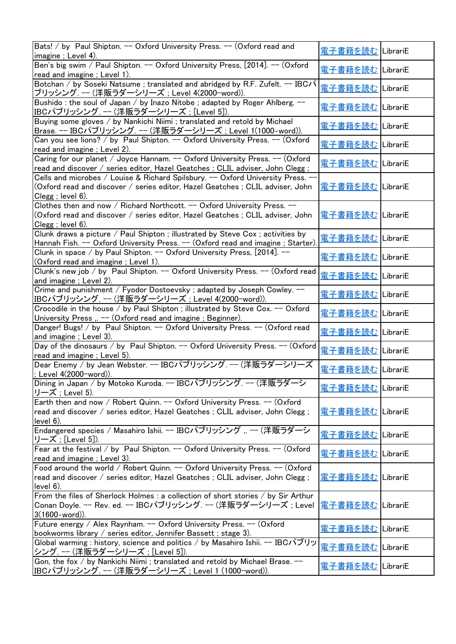| Bats! / by Paul Shipton. -- Oxford University Press. -- (Oxford read and<br>imagine; Level 4).                                                                 | 軍子書籍を読む         | LibrariE |
|----------------------------------------------------------------------------------------------------------------------------------------------------------------|-----------------|----------|
| Ben's big swim / Paul Shipton. -- Oxford University Press, [2014]. -- (Oxford                                                                                  | 電子書籍を読む         | LibrariE |
| read and imagine; Level 1).                                                                                                                                    |                 |          |
| Botchan / by Soseki Natsume; translated and abridged by R.F. Zufelt. -- IBC/ $\hat{v}$<br>ブリッシング. -- (洋販ラダーシリーズ ; Level 4(2000-word)).                         | <u> 電子書籍を読む</u> | LibrariE |
| Bushido: the soul of Japan / by Inazo Nitobe; adapted by Roger Ahlberg. --<br>IBCパブリッシング. -- (洋販ラダーシリーズ;[Level 5]).                                            | 電子書籍を読む         | LibrariE |
| Buying some gloves / by Nankichi Niimi ; translated and retold by Michael                                                                                      |                 |          |
| <u>Brase. -- IBCパブリッシング. -- (洋販ラダーシリーズ; Level 1(1000-word)).</u>                                                                                               | 電子書籍を読む         | LibrariE |
| Can you see lions? / by Paul Shipton. -- Oxford University Press. -- (Oxford                                                                                   |                 |          |
| read and imagine; Level 2).                                                                                                                                    | <u> 電子書籍を読む</u> | LibrariE |
| Caring for our planet / Joyce Hannam. -- Oxford University Press. -- (Oxford<br>read and discover / series editor, Hazel Geatches ; CLIL adviser, John Clegg ; | 軍子書籍を読む         | LibrariE |
| Cells and microbes / Louise & Richard Spilsbury. -- Oxford University Press. -                                                                                 |                 |          |
| (Oxford read and discover / series editor, Hazel Geatches ; CLIL adviser, John                                                                                 | <u> 電子書籍を読む</u> | LibrariE |
| Clegg ; level 6).                                                                                                                                              |                 |          |
| Clothes then and now / Richard Northcott. -- Oxford University Press. --                                                                                       |                 |          |
|                                                                                                                                                                | <u> 電子書籍を読む</u> |          |
| (Oxford read and discover / series editor, Hazel Geatches ; CLIL adviser, John                                                                                 |                 | LibrariE |
| $Clegg$ ; level $6$ ).                                                                                                                                         |                 |          |
| Clunk draws a picture / Paul Shipton ; illustrated by Steve Cox ; activities by                                                                                | <u>電子書籍を読む</u>  | LibrariE |
| Hannah Fish. -- Oxford University Press. -- (Oxford read and imagine; Starter).                                                                                |                 |          |
| Clunk in space / by Paul Shipton. -- Oxford University Press, [2014]. --                                                                                       | 電子書籍を読む         |          |
| (Oxford read and imagine; Level 1).                                                                                                                            |                 | LibrariE |
| Clunk's new job / by Paul Shipton. -- Oxford University Press. -- (Oxford read                                                                                 |                 |          |
| and imagine; Level 2).                                                                                                                                         | 電子書籍を読む         | LibrariE |
| Crime and punishment / Fyodor Dostoevsky ; adapted by Joseph Cowley. --                                                                                        |                 |          |
|                                                                                                                                                                | 電子書籍を読む         | LibrariE |
| IBCパブリッシング. -− (洋販ラダーシリーズ ; Level 4(2000-word)).                                                                                                               |                 |          |
| Crocodile in the house / by Paul Shipton ; illustrated by Steve Cox. -- Oxford                                                                                 | 電子書籍を読む         | LibrariE |
| University Press, -- (Oxford read and imagine; Beginner).                                                                                                      |                 |          |
| Danger! Bugs! / by Paul Shipton. -- Oxford University Press. -- (Oxford read                                                                                   | 電子書籍を読む         | LibrariE |
| and imagine; Level 3).                                                                                                                                         |                 |          |
| Day of the dinosaurs / by Paul Shipton. -- Oxford University Press. -- (Oxford                                                                                 | <u>電子書籍を読む</u>  | LibrariE |
| read and imagine; Level 5).                                                                                                                                    |                 |          |
| Dear Enemy / by Jean Webster. -- IBCパブリッシング. -- (洋販ラダーシリーズ                                                                                                     |                 |          |
| ; Level 4(2000-word)).                                                                                                                                         | <u> 電子書籍を読む</u> | LibrariE |
| Dining in Japan / by Motoko Kuroda. -- IBCパブリッシング. -- (洋販ラダーシ                                                                                                  |                 |          |
| リーズ ; Level 5).                                                                                                                                                | <u> 電子書籍を読む</u> | LibrariE |
| Earth then and now / Robert Quinn. -- Oxford University Press. -- (Oxford                                                                                      |                 |          |
|                                                                                                                                                                | 電子書籍を読む         |          |
| read and discover / series editor, Hazel Geatches ; CLIL adviser, John Clegg;                                                                                  |                 | LibrariE |
| $level 6$ ).                                                                                                                                                   |                 |          |
| Endangered species / Masahiro Ishii. -- IBCパブリッシング ,. -- (洋販ラダーシ                                                                                               | <u> 電子書籍を読む</u> | LibrariE |
| リーズ ; [Level 5]).                                                                                                                                              |                 |          |
| Fear at the festival / by Paul Shipton. -- Oxford University Press. -- (Oxford                                                                                 | <u> 電子書籍を読む</u> | LibrariE |
| read and imagine; Level 3).                                                                                                                                    |                 |          |
| Food around the world / Robert Quinn. -- Oxford University Press. -- (Oxford                                                                                   |                 |          |
| read and discover / series editor, Hazel Geatches ; CLIL adviser, John Clegg;                                                                                  | <u> 電子書籍を読む</u> | LibrariE |
| $level 6$ ).                                                                                                                                                   |                 |          |
| From the files of Sherlock Holmes : a collection of short stories / by Sir Arthur                                                                              |                 |          |
| Conan Doyle. -- Rev. ed. -- IBCパブリッシング. -- (洋販ラダーシリーズ; Level                                                                                                   | 電子書籍を読む         | LibrariE |
|                                                                                                                                                                |                 |          |
| $3(1600$ -word)).                                                                                                                                              |                 |          |
| Future energy / Alex Raynham. -- Oxford University Press. -- (Oxford                                                                                           | 電子書籍を読む         | LibrariE |
| bookworms library / series editor, Jennifer Bassett; stage 3).                                                                                                 |                 |          |
| Global warming : history, science and politics / by Masahiro Ishii. -- IBCパブリッ                                                                                 | <u> 電子書籍を読む</u> | LibrariE |
| シング. -- (洋販ラダーシリーズ; [Level 5]).                                                                                                                                |                 |          |
| Gon, the fox / by Nankichi Niimi ; translated and retold by Michael Brase. --                                                                                  | 電子書籍を読む         |          |
| IBCパブリッシング. -- (洋販ラダーシリーズ ; Level 1 (1000-word)).                                                                                                              |                 | LibrariE |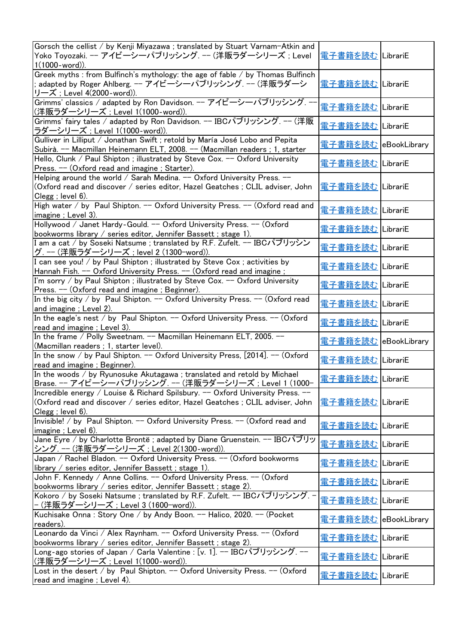| Gorsch the cellist / by Kenji Miyazawa ; translated by Stuart Varnam-Atkin and<br>Yoko Toyozaki. -- アイビーシーパブリッシング. -- (洋販ラダーシリーズ ; Level<br>$1(1000$ -word)).                             | <u> 電子書籍を読む</u>   LibrariE   |              |
|-------------------------------------------------------------------------------------------------------------------------------------------------------------------------------------------|------------------------------|--------------|
| Greek myths : from Bulfinch's mythology: the age of fable / by Thomas Bulfinch<br>adapted by Roger Ahlberg. -- アイビーシーパブリッシング. -- (洋販ラダーシ<br>リーズ; Level 4(2000-word)).                     | <u> 電子書籍を読む</u>   LibrariE   |              |
| Grimms' classics / adapted by Ron Davidson. -- アイビーシーパブリッシング. --<br>(洋販ラダーシリーズ ; Level 1(1000-word)).                                                                                     | 電子書籍を読む LibrariE             |              |
| Grimms' fairy tales / adapted by Ron Davidson. -- IBCパブリッシング. -- (洋販<br>ラダーシリーズ ; Level 1(1000-word)).                                                                                    | 電子書籍を読む LibrariE             |              |
| Gulliver in Lilliput / Jonathan Swift ; retold by María José Lobo and Pepita<br>Subirà. -- Macmillan Heinemann ELT, 2008. -- (Macmillan readers ; 1, starter                              | <u> 電子書籍を読む</u> eBookLibrary |              |
| Hello, Clunk / Paul Shipton; illustrated by Steve Cox. -- Oxford University<br>Press. -- (Oxford read and imagine; Starter).                                                              | 電子書籍を読む LibrariE             |              |
| Helping around the world / Sarah Medina. -- Oxford University Press. --<br>(Oxford read and discover / series editor, Hazel Geatches ; CLIL adviser, John<br>Clegg ; level 6).            | <u> 電子書籍を読む</u> LibrariE     |              |
| High water / by Paul Shipton. -- Oxford University Press. -- (Oxford read and<br>imagine; Level 3).                                                                                       | <u>電子書籍を読む</u> LibrariE      |              |
| Hollywood / Janet Hardy-Gould. -- Oxford University Press. -- (Oxford<br>bookworms library / series editor, Jennifer Bassett; stage 1).                                                   | 電子書籍を読む LibrariE             |              |
| I am a cat / by Soseki Natsume ; translated by R.F. Zufelt. -- IBCパブリッシン<br> グ. --- (洋販ラダーシリーズ ; level 2 (1300−word)).                                                                    | 電子書籍を読む LibrariE             |              |
| I can see you! / by Paul Shipton ; illustrated by Steve Cox ; activities by<br>Hannah Fish. -- Oxford University Press. -- (Oxford read and imagine;                                      | 電子書籍を読む   LibrariE           |              |
| I'm sorry / by Paul Shipton ; illustrated by Steve Cox. -- Oxford University<br>Press. -- (Oxford read and imagine; Beginner).                                                            | 電子書籍を読む LibrariE             |              |
| In the big city / by Paul Shipton. -- Oxford University Press. -- (Oxford read<br>and imagine; Level 2).                                                                                  | 電子書籍を読む LibrariE             |              |
| In the eagle's nest / by Paul Shipton. -- Oxford University Press. -- (Oxford<br>read and imagine; Level 3).                                                                              | 電子書籍を読む LibrariE             |              |
| In the frame / Polly Sweetnam. -- Macmillan Heinemann ELT, 2005. --<br>(Macmillan readers ; 1, starter level).                                                                            | <u> 電子書籍を読む</u> eBookLibrary |              |
| In the snow / by Paul Shipton. -- Oxford University Press, [2014]. -- (Oxford<br>read and imagine; Beginner).                                                                             | 電子書籍を読む LibrariE             |              |
| In the woods / by Ryunosuke Akutagawa ; translated and retold by Michael<br>Brase. -- アイビーシーパブリッシング. -- (洋販ラダーシリーズ; Level 1 (1000-                                                        | <u>電子書籍を読む</u> LibrariE      |              |
| Incredible energy / Louise & Richard Spilsbury. -- Oxford University Press. --<br>(Oxford read and discover / series editor, Hazel Geatches; CLIL adviser, John<br>$Clegg$ ; level $6$ ). | 電子書籍を読む LibrariE             |              |
| Invisible! / by Paul Shipton. -- Oxford University Press. -- (Oxford read and<br>imagine; Level 6).                                                                                       | <u> 電子書籍を読む</u>              | LibrariE     |
| Jane Eyre / by Charlotte Bronte; adapted by Diane Gruenstein. -- IBCパブリッ<br> シング. --- (洋販ラダーシリーズ ; Level 2(1300-word)).                                                                   | 電子書籍を読む                      | LibrariE     |
| Japan / Rachel Bladon. -- Oxford University Press. -- (Oxford bookworms<br>library / series editor, Jennifer Bassett; stage 1).                                                           | <u> 電子書籍を読む</u>              | LibrariE     |
| John F. Kennedy / Anne Collins. -- Oxford University Press. -- (Oxford<br>bookworms library / series editor, Jennifer Bassett; stage 2).                                                  | <u> 電子書籍を読む</u>              | LibrariE     |
| Kokoro / by Soseki Natsume ; translated by R.F. Zufelt. -- IBCパブリッシング. -<br> − (洋販ラダーシリーズ ; Level 3 (1600−word)).                                                                         | <u> 電子書籍を読む</u>              | LibrariE     |
| Kuchisake Onna: Story One / by Andy Boon. -- Halico, 2020. -- (Pocket<br>readers).                                                                                                        | <u> 電子書籍を読む</u>              | eBookLibrary |
| Leonardo da Vinci / Alex Raynham. -- Oxford University Press. -- (Oxford<br>bookworms library / series editor, Jennifer Bassett; stage 2).                                                | 電子書籍を読む                      | LibrariE     |
| Long-ago stories of Japan / Carla Valentine : [v. 1]. -- IBCパブリッシング. --<br>(洋販ラダーシリーズ ; Level 1(1000-word)).                                                                              | 電子書籍を読む LibrariE             |              |
| Lost in the desert / by Paul Shipton. -- Oxford University Press. -- (Oxford<br>read and imagine; Level 4).                                                                               | 電子書籍を読む LibrariE             |              |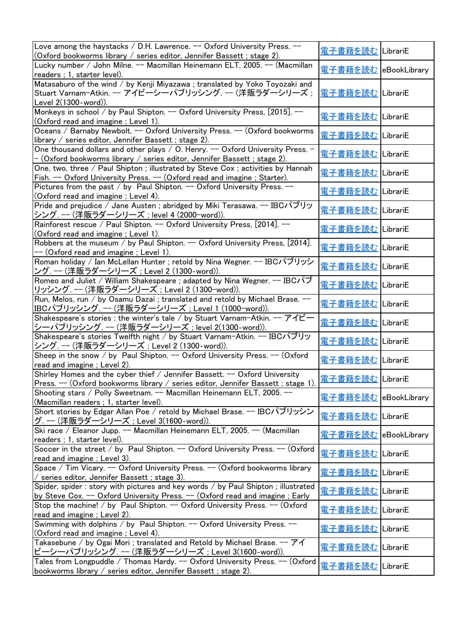| Love among the haystacks / D.H. Lawrence. -- Oxford University Press. --<br>(Oxford bookworms library / series editor, Jennifer Bassett ; stage 2).                              | 電子書籍を読む LibrariE            |              |
|----------------------------------------------------------------------------------------------------------------------------------------------------------------------------------|-----------------------------|--------------|
| Lucky number / John Milne. -- Macmillan Heinemann ELT, 2005. -- (Macmillan                                                                                                       | 電子書籍を読む eBookLibrary        |              |
| readers; 1, starter level).                                                                                                                                                      |                             |              |
| Matasaburo of the wind / by Kenji Miyazawa ; translated by Yoko Toyozaki and                                                                                                     |                             |              |
| Stuart Varnam-Atkin. -- アイビーシーパブリッシング. -- (洋販ラダーシリーズ;<br>Level 2(1300-word)).                                                                                                    | 電子書籍を読む LibrariE            |              |
| Monkeys in school / by Paul Shipton. -- Oxford University Press, [2015]. --                                                                                                      |                             |              |
| (Oxford read and imagine; Level 1).                                                                                                                                              | 電子書籍を読む LibrariE            |              |
| Oceans / Barnaby Newbolt. -- Oxford University Press. -- (Oxford bookworms                                                                                                       |                             |              |
| library $\ell$ series editor, Jennifer Bassett; stage 2).                                                                                                                        | 電子書籍を読む LibrariE            |              |
| One thousand dollars and other plays / O. Henry. -- Oxford University Press. -                                                                                                   |                             |              |
| - (Oxford bookworms library / series editor, Jennifer Bassett ; stage 2).                                                                                                        | 電子書籍を読む LibrariE            |              |
| One, two, three / Paul Shipton ; illustrated by Steve Cox ; activities by Hannah                                                                                                 |                             |              |
| Fish. -- Oxford University Press. -- (Oxford read and imagine; Starter).                                                                                                         | <u> 電子書籍を読む</u> LibrariE    |              |
| Pictures from the past / by Paul Shipton. -- Oxford University Press. --                                                                                                         |                             |              |
| (Oxford read and imagine ; Level 4).                                                                                                                                             | 電子書籍を読む   LibrariE          |              |
| Pride and prejudice / Jane Austen; abridged by Miki Terasawa. -- IBCパブリッ                                                                                                         |                             |              |
| <u> シング. -- (洋販ラダーシリーズ ; level 4 (2000-word)).</u>                                                                                                                               | 電子書籍を読む   LibrariE          |              |
| Rainforest rescue / Paul Shipton. -- Oxford University Press, [2014]. --                                                                                                         | 電子書籍を読む LibrariE            |              |
| <u>(Oxford read and imagine ; Level 1).</u>                                                                                                                                      |                             |              |
| Robbers at the museum / by Paul Shipton. -- Oxford University Press, [2014].                                                                                                     | 電子書籍を読む LibrariE            |              |
| -- (Oxford read and imagine ; Level 1).                                                                                                                                          |                             |              |
| Roman holiday / Ian McLellan Hunter ; retold by Nina Wegner. -- IBCパブリッシ                                                                                                         | 電子書籍を読む                     | LibrariE     |
| ング. --- (洋販ラダーシリーズ ; Level 2 (1300-word)).                                                                                                                                       |                             |              |
| Romeo and Juliet / William Shakespeare ; adapted by Nina Wegner. -- IBCパブ                                                                                                        | 電子書籍を読む                     | LibrariE     |
| リッシング. -- (洋販ラダーシリーズ ; Level 2 (1300-word)).                                                                                                                                     |                             |              |
| Run, Melos, run / by Osamu Dazai; translated and retold by Michael Brase. --                                                                                                     | 電子書籍を読む                     | LibrariE     |
| IBCパブリッシング. -- (洋販ラダーシリーズ; Level 1 (1000-word)).                                                                                                                                 |                             |              |
| Shakespeare's stories : the winter's tale / by Stuart Varnam-Atkin. -- アイビー                                                                                                      | 電子書籍を読む LibrariE            |              |
| シーパブリッシング. -- (洋販ラダーシリーズ ; level 2(1300-word)).                                                                                                                                  |                             |              |
| Shakespeare's stories Twelfth night / by Stuart Varnam-Atkin. -- IBCパブリッ                                                                                                         | 電子書籍を読む LibrariE            |              |
| シング. -- (洋販ラダーシリーズ; Level 2 (1300-word)).                                                                                                                                        |                             |              |
| Sheep in the snow / by Paul Shipton. -- Oxford University Press. -- (Oxford                                                                                                      | 電子書籍を読む LibrariE            |              |
| read and imagine; Level 2).                                                                                                                                                      |                             |              |
| Shirley Homes and the cyber thief / Jennifer Bassett. -- Oxford University<br>Press. -- (Oxford bookworms library / series editor, Jennifer Bassett ; stage 1). 電子書籍を読む LibrariE |                             |              |
| Shooting stars / Polly Sweetnam. -- Macmillan Heinemann ELT, 2005. --                                                                                                            |                             |              |
| (Macmillan readers ; 1, starter level).                                                                                                                                          | <u>電子書籍を読む</u> eBookLibrary |              |
| Short stories by Edgar Allan Poe / retold by Michael Brase. -- IBCパブリッシン                                                                                                         |                             |              |
| グ. --- (洋販ラダーシリーズ ; Level 3(1600-word)).                                                                                                                                         | 電子書籍を読む LibrariE            |              |
| Ski race / Eleanor Jupp. -- Macmillan Heinemann ELT, 2005. -- (Macmillan                                                                                                         |                             |              |
| readers ; 1, starter level).                                                                                                                                                     | <u> 電子書籍を読む</u>             | eBookLibrary |
| Soccer in the street / by Paul Shipton. -- Oxford University Press. -- (Oxford                                                                                                   |                             |              |
| read and imagine; Level 3).                                                                                                                                                      | <u> 電子書籍を読む</u>             | LibrariE     |
| Space / Tim Vicary. -- Oxford University Press. -- (Oxford bookworms library                                                                                                     |                             |              |
| series editor, Jennifer Bassett; stage 3).                                                                                                                                       | <u> 電子書籍を読む</u>             | LibrariE     |
| Spider, spider : story with pictures and key words / by Paul Shipton ; illustrated                                                                                               |                             |              |
|                                                                                                                                                                                  | 電子書籍を読む                     | LibrariE     |
|                                                                                                                                                                                  |                             |              |
|                                                                                                                                                                                  |                             |              |
| by Steve Cox. -- Oxford University Press. -- (Oxford read and imagine; Early<br>Stop the machine! / by Paul Shipton. -- Oxford University Press. -- (Oxford                      | <u> 電子書籍を読む</u>             | LibrariE     |
|                                                                                                                                                                                  |                             |              |
| read and imagine; Level 2).<br>Swimming with dolphins / by Paul Shipton. -- Oxford University Press. --                                                                          | <u> 電子書籍を読む</u>             | LibrariE     |
|                                                                                                                                                                                  |                             |              |
| (Oxford read and imagine; Level 4).<br>Takasebune / by Ogai Mori ; translated and Retold by Michael Brase. -- $\mathcal{P}$ イ                                                    | 電子書籍を読む LibrariE            |              |
| <u> ビーシーパブリッシング. -- (洋販ラダーシリーズ ; Level 3(1600-word)).</u><br>Tales from Longpuddle / Thomas Hardy. -- Oxford University Press. -- (Oxford                                        | 電子書籍を読む                     | LibrariE     |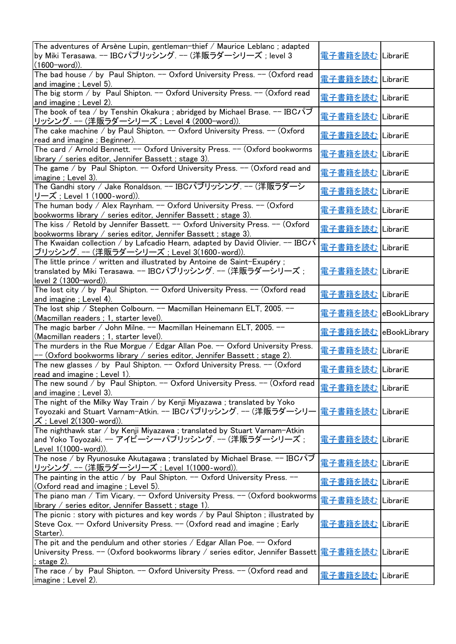| The adventures of Arsène Lupin, gentleman-thief / Maurice Leblanc; adapted<br> by Miki Terasawa. -- IBCパブリッシング. -- (洋販ラダーシリーズ; level 3<br>$(1600$ -word)).                     | <u> 電子書籍を読む</u>              | LibrariE |
|--------------------------------------------------------------------------------------------------------------------------------------------------------------------------------|------------------------------|----------|
| The bad house / by Paul Shipton. -- Oxford University Press. -- (Oxford read<br>and imagine; Level 5).                                                                         | 電子書籍を読む                      | LibrariE |
| The big storm / by Paul Shipton. -- Oxford University Press. -- (Oxford read<br>and imagine; Level 2).                                                                         | 電子書籍を読む                      | LibrariE |
| The book of tea / by Tenshin Okakura ; abridged by Michael Brase. -- IBCパブ<br>リッシング. -- (洋販ラダーシリーズ; Level 4 (2000-word)).                                                      | <u> 電子書籍を読む</u>              | LibrariE |
| The cake machine / by Paul Shipton. -- Oxford University Press. -- (Oxford<br>read and imagine; Beginner).                                                                     | 電子書籍を読む                      | LibrariE |
| The card / Arnold Bennett. -- Oxford University Press. -- (Oxford bookworms<br>library / series editor, Jennifer Bassett ; stage 3).                                           | <u>電子書籍を読む</u>               | LibrariE |
| The game / by Paul Shipton. -- Oxford University Press. -- (Oxford read and<br>imagine ; Level 3).                                                                             | <b>電子書籍を読む</b>               | LibrariE |
| The Gandhi story / Jake Ronaldson. -- IBCパブリッシング. -- (洋販ラダーシ<br>リーズ;Level 1 (1000-word)).                                                                                      | <u> 電子書籍を読む</u>              | LibrariE |
| The human body / Alex Raynham. -- Oxford University Press. -- (Oxford<br>bookworms library / series editor, Jennifer Bassett; stage 3).                                        | 電子書籍を読む                      | LibrariE |
| The kiss / Retold by Jennifer Bassett. -- Oxford University Press. -- (Oxford<br>bookworms library / series editor, Jennifer Bassett; stage 3).                                | 重子書籍を読む                      | LibrariE |
| The Kwaidan collection / by Lafcadio Hearn, adapted by David Olivier. $-$ IBC/ $\mathcal{S}$<br>ブリッシング. -- (洋販ラダーシリーズ ; Level 3(1600-word)).                                   | 電子書籍を読む                      | LibrariE |
| The little prince / written and illustrated by Antoine de Saint-Exupéry;<br>translated by Miki Terasawa. -- IBCパブリッシング. -- (洋販ラダーシリーズ;<br>level 2 (1300-word)).                | <u> 電子書籍を読む</u>              | LibrariE |
| The lost city / by Paul Shipton. $-$ Oxford University Press. $-$ (Oxford read<br>and imagine; Level 4).                                                                       | 電子書籍を読む                      | LibrariE |
| The lost ship / Stephen Colbourn. -- Macmillan Heinemann ELT, 2005. --<br>(Macmillan readers ; 1, starter level).                                                              | <u> 電子書籍を読む</u> eBookLibrary |          |
| The magic barber / John Milne. -- Macmillan Heinemann ELT, 2005. --<br>(Macmillan readers ; 1, starter level).                                                                 | <u> 電子書籍を読む</u> eBookLibrary |          |
| The murders in the Rue Morgue / Edgar Allan Poe. -- Oxford University Press.<br>-- (Oxford bookworms library / series editor, Jennifer Bassett ; stage 2).                     | <u>電子書籍を読む</u>               | LibrariE |
| The new glasses / by Paul Shipton. $-$ Oxford University Press. $-$ (Oxford<br>read and imagine; Level 1).                                                                     | 重子書籍を読む                      | LibrariE |
| The new sound / by Paul Shipton. -- Oxford University Press. -- (Oxford read<br>and imagine; Level 3).                                                                         | <u> 電子書籍を読む</u>              | LibrariE |
| The night of the Milky Way Train / by Kenji Miyazawa ; translated by Yoko<br>Toyozaki and Stuart Varnam-Atkin. -- IBCパブリッシング. -- (洋販ラダーシリー<br>$\vec{X}$ ; Level 2(1300-word)). | 電子書籍を読む                      | LibrariE |
| The nighthawk star / by Kenji Miyazawa ; translated by Stuart Varnam-Atkin<br>and Yoko Toyozaki. -- アイビーシーパブリッシング. -- (洋販ラダーシリーズ ;<br>Level 1(1000-word)).                     | <u> 電子書籍を読む</u>              | LibrariE |
| The nose / by Ryunosuke Akutagawa ; translated by Michael Brase. -- IBCパブ<br>リッシング. -- (洋販ラダーシリーズ ; Level 1(1000-word)).                                                       | <u> 電子書籍を読む</u>              | LibrariE |
| The painting in the attic / by Paul Shipton. $-$ Oxford University Press. $-$<br>(Oxford read and imagine; Level 5).                                                           | 電子書籍を読む                      | LibrariE |
| The piano man / Tim Vicary. $-$ Oxford University Press. $-$ (Oxford bookworms<br>library / series editor, Jennifer Bassett ; stage 1).                                        | <u> 電子書籍を読む</u>              | LibrariE |
| The picnic: story with pictures and key words $/$ by Paul Shipton; illustrated by<br>Steve Cox. -- Oxford University Press. -- (Oxford read and imagine; Early<br>Starter).    | 電子書籍を読む                      | LibrariE |
| The pit and the pendulum and other stories / Edgar Allan Poe. $-$ Oxford<br>University Press. -- (Oxford bookworms library / series editor, Jennifer Bassett<br>; stage 2).    | 電子書籍を読む                      | LibrariE |
| The race / by Paul Shipton. -- Oxford University Press. -- (Oxford read and<br>imagine; Level 2).                                                                              | <u> 電子書籍を読む</u>              | LibrariE |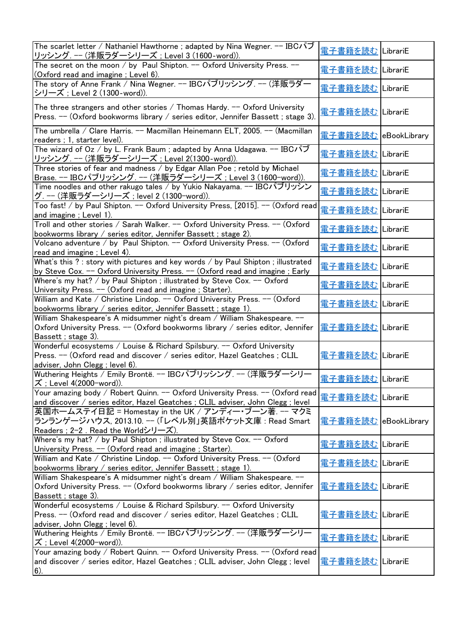| The scarlet letter / Nathaniel Hawthorne ; adapted by Nina Wegner. -- IBCパブ                                                                                                              | 電子書籍を読む                    | LibrariE     |
|------------------------------------------------------------------------------------------------------------------------------------------------------------------------------------------|----------------------------|--------------|
| リッシング. -- (洋販ラダーシリーズ; Level 3 (1600-word)).<br>The secret on the moon / by Paul Shipton. $-$ Oxford University Press. $-$                                                                |                            |              |
| (Oxford read and imagine; Level 6).                                                                                                                                                      | <u> 電子書籍を読む</u>            | LibrariE     |
| The story of Anne Frank / Nina Wegner. -- IBCパブリッシング. -- (洋販ラダー<br>シリーズ; Level 2 (1300-word)).                                                                                           | 重子書籍を読む                    | LibrariE     |
| The three strangers and other stories / Thomas Hardy. $-$ Oxford University<br>Press. -- (Oxford bookworms library / series editor, Jennifer Bassett; stage 3).                          | <u> 電子書籍を読む</u>            | LibrariE     |
| The umbrella / Clare Harris. -- Macmillan Heinemann ELT, 2005. -- (Macmillan<br>readers ; 1, starter level).                                                                             | 電子書籍を読む eBookLibrary       |              |
| The wizard of Oz / by L. Frank Baum; adapted by Anna Udagawa. $-$ IBC $\sqrt{v}$<br>リッシング. -- (洋販ラダーシリーズ; Level 2(1300-word)).                                                           | 電子書籍を読む                    | LibrariE     |
| Three stories of fear and madness / by Edgar Allan Poe ; retold by Michael<br>Brase. -- IBCパブリッシング. -- (洋販ラダーシリーズ; Level 3 (1600-word)).                                                 | <u> 電子書籍を読む</u>   LibrariE |              |
| Time noodles and other rakugo tales / by Yukio Nakayama. -- IBCパブリッシン<br><u>グ. -- (洋販ラダーシリーズ ; level 2 (1300-word)).</u>                                                                 | 電子書籍を読む                    | LibrariE     |
| Too fast! / by Paul Shipton. -- Oxford University Press, [2015]. -- (Oxford read<br>and imagine; Level 1).                                                                               | 電子書籍を読む                    | LibrariE     |
| Troll and other stories / Sarah Walker. -- Oxford University Press. -- (Oxford<br>bookworms library / series editor, Jennifer Bassett; stage 2).                                         | 電子書籍を読む                    | LibrariE     |
| Volcano adventure / by Paul Shipton. -- Oxford University Press. -- (Oxford<br>read and imagine; Level 4).                                                                               | 電子書籍を読む                    | LibrariE     |
| What's this ?: story with pictures and key words / by Paul Shipton; illustrated<br>by Steve Cox. -- Oxford University Press. -- (Oxford read and imagine; Early                          | 電子書籍を読む                    | LibrariE     |
| Where's my hat? / by Paul Shipton ; illustrated by Steve Cox. -- Oxford<br>University Press. -- (Oxford read and imagine; Starter).                                                      | 重子書籍を読む                    | LibrariE     |
| William and Kate / Christine Lindop. -- Oxford University Press. -- (Oxford<br>bookworms library / series editor, Jennifer Bassett; stage 1).                                            | 電子書籍を読む                    | LibrariE     |
| William Shakespeare's A midsummer night's dream / William Shakespeare. --<br>Oxford University Press. $-$ (Oxford bookworms library / series editor, Jennifer<br>Bassett ; stage 3).     | <u> 電子書籍を読む</u>            | LibrariE     |
| Wonderful ecosystems / Louise & Richard Spilsbury. -- Oxford University<br>Press. -- (Oxford read and discover / series editor, Hazel Geatches ; CLIL<br>adviser, John Clegg; level 6).  | 電子書籍を読む                    | LibrariE     |
| Wuthering Heights / Emily Brontë. -- IBCパブリッシング. -- (洋販ラダーシリー<br><u>ズ; Level 4(2000-word)).</u>                                                                                          | 電子書籍を読む   LibrariE         |              |
| Your amazing body / Robert Quinn. -- Oxford University Press. -- (Oxford read<br>and discover / series editor, Hazel Geatches ; CLIL adviser, John Clegg ; level                         | <u> 電子書籍を読む</u>            | LibrariE     |
| 英国ホームステイ日記 = Homestay in the UK / アンディー・ブーン著. -- マクミ<br>ランランゲージハウス, 2013.10. -- (「レベル別」英語ポケット文庫 : Read Smart<br>Readers : 2-2. Read the Worldシリーズ).                                      | <u> 電子書籍を読む</u>            | eBookLibrary |
| Where's my hat? / by Paul Shipton ; illustrated by Steve Cox. -- Oxford<br>University Press. -- (Oxford read and imagine; Starter).                                                      | <u> 電子書籍を読む</u>            | LibrariE     |
| William and Kate / Christine Lindop. -- Oxford University Press. -- (Oxford<br>bookworms library / series editor, Jennifer Bassett; stage 1).                                            | 電子書籍を読む                    | LibrariE     |
| William Shakespeare's A midsummer night's dream / William Shakespeare. --<br>Oxford University Press. $-$ (Oxford bookworms library / series editor, Jennifer<br>Bassett; stage 3).      | <u> 電子書籍を読む</u>            | LibrariE     |
| Wonderful ecosystems / Louise & Richard Spilsbury. -- Oxford University<br> Press. -- (Oxford read and discover / series editor, Hazel Geatches ; CLIL<br>adviser, John Clegg; level 6). | 重子書籍を読む                    | LibrariE     |
| Wuthering Heights / Emily Brontë. -- IBCパブリッシング. -- (洋販ラダーシリー<br> ズ ; Level 4(2000-word)).                                                                                               | <u> 電子書籍を読む</u>            | LibrariE     |
| Your amazing body / Robert Quinn. -- Oxford University Press. -- (Oxford read<br>and discover / series editor, Hazel Geatches ; CLIL adviser, John Clegg ; level<br>$6)$ .               | <u> 電子書籍を読む</u>            | LibrariE     |